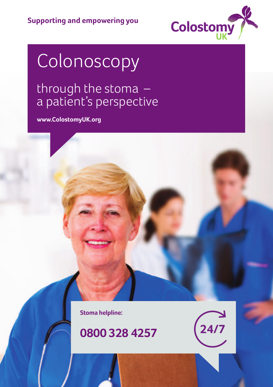

# Colonoscopy through the stoma -<br>a patient's perspective

**www.ColostomyUK.org**

**Stoma helpline:**

**0800 328 4257**

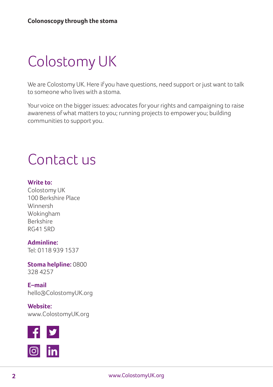# Colostomy UK

We are Colostomy UK. Here if you have questions, need support or just want to talk to someone who lives with a stoma.

Your voice on the bigger issues: advocates for your rights and campaigning to raise awareness of what matters to you; running projects to empower you; building communities to support you.

### Contact us

#### **Write to:**

Colostomy UK 100 Berkshire Place Winnersh Wokingham Berkshire RG41 5RD

**Adminline:** Tel: 0118 939 1537

**Stoma helpline:** 0800 328 4257

**E–mail** hello@ColostomyUK.org

**Website:** www.ColostomyUK.org

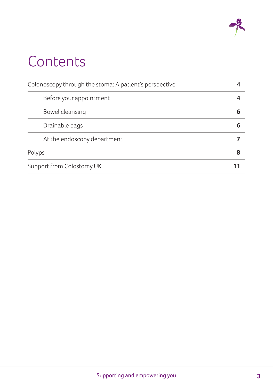

### **Contents**

| Colonoscopy through the stoma: A patient's perspective |   |
|--------------------------------------------------------|---|
| Before your appointment                                |   |
| Bowel cleansing                                        | 6 |
| Drainable bags                                         | h |
| At the endoscopy department                            |   |
| Polyps                                                 | 8 |
| Support from Colostomy UK                              |   |
|                                                        |   |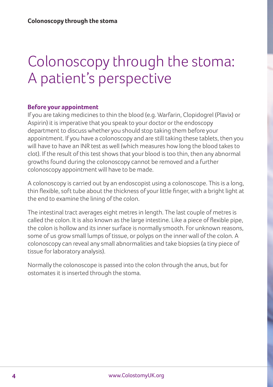### Colonoscopy through the stoma: A patient' s perspective

#### **Before your appointment**

If you are taking medicines to thin the blood (e.g. Warfarin, Clopidogrel (Plavix) or Aspirin) it is imperative that you speak to your doctor or the endoscopy department to discuss whether you should stop taking them before your appointment. If you have a colonoscopy and are still taking these tablets, then you will have to have an INR test as well (which measures how long the blood takes to clot). If the result of this test shows that your blood is too thin, then any abnormal growths found during the colonoscopy cannot be removed and a further colonoscopy appointment will have to be made.

A colonoscopy is carried out by an endoscopist using a colonoscope. This is a long, thin flexible, soft tube about the thickness of your little finger, with a bright light at the end to examine the lining of the colon.

The intestinal tract averages eight metres in length. The last couple of metres is called the colon. It is also known as the large intestine. Like a piece of flexible pipe, the colon is hollow and its innersurface is normally smooth. For unknown reasons, some of us grow small lumps of tissue, or polyps on the inner wall of the colon. A colonoscopy can reveal any small abnormalities and take biopsies (a tiny piece of tissue for laboratory analysis).

Normally the colonoscope is passed into the colon through the anus, but for ostomates it is inserted through the stoma.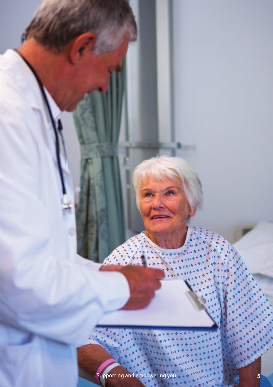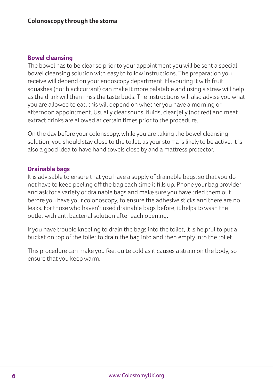#### **Bowel cleansing**

The bowel has to be clearso prior to your appointment you will be sent a special bowel cleansing solution with easy to follow instructions. The preparation you receive will depend on your endoscopy department. Flavouring it with fruit squashes (not blackcurrant) can make it more palatable and using a strawwill help as the drinkwill then miss the taste buds. The instructions will also advise you what you are allowed to eat, this will depend on whether you have a morning or afternoon appointment. Usually clearsoups, fluids, clear jelly (not red) and meat extract drinks are allowed at certain times prior to the procedure.

On the day before your colonscopy, while you are taking the bowel cleansing solution, you should stay close to the toilet, as yourstoma is likely to be active. It is also a good idea to have hand towels close by and a mattress protector.

#### **Drainable bags**

It is advisable to ensure that you have a supply of drainable bags, so that you do not have to keep peeling off the bag each time it fills up. Phone your bag provider and ask for a variety of drainable bags and make sure you have tried them out before you have your colonoscopy, to ensure the adhesive sticks and there are no leaks. For those who haven't used drainable bags before, it helps to wash the outlet with anti bacterial solution after each opening.

If you have trouble kneeling to drain the bags into the toilet, it is helpful to put a bucket on top of the toilet to drain the bag into and then empty into the toilet.

This procedure can make you feel quite cold as it causes a strain on the body, so ensure that you keep warm.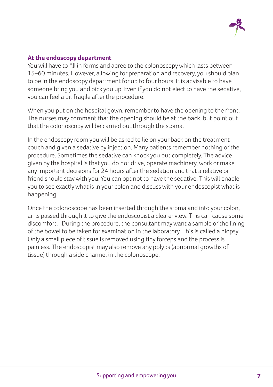

#### **At the endoscopy department**

You will have to fill in forms and agree to the colonoscopywhich lasts between 15–60 minutes. However, allowing for preparation and recovery, you should plan to be in the endoscopy department for up to four hours. It is advisable to have someone bring you and pick you up. Even if you do not elect to have the sedative, you can feel a bit fragile after the procedure.

When you put on the hospital gown, remember to have the opening to the front. The nurses may comment that the opening should be at the back, but point out that the colonoscopywill be carried out through the stoma.

In the endoscopy room you will be asked to lie on your back on the treatment couch and given a sedative by injection. Many patients remember nothing of the procedure. Sometimes the sedative can knock you out completely. The advice given by the hospital is that you do not drive, operate machinery, work or make any important decisions for 24 hours after the sedation and that a relative or friend should staywith you. You can opt not to have the sedative. This will enable you to see exactlywhat is in your colon and discuss with your endoscopist what is happening.

Once the colonoscope has been inserted through the stoma and into your colon, air is passed through it to give the endoscopist a clearer view. This can cause some discomfort. During the procedure, the consultant maywant a sample of the lining of the bowel to be taken for examination in the laboratory. This is called a biopsy. Only a small piece of tissue is removed using tiny forceps and the process is painless. The endoscopist may also remove any polyps (abnormal growths of tissue) through a side channel in the colonoscope.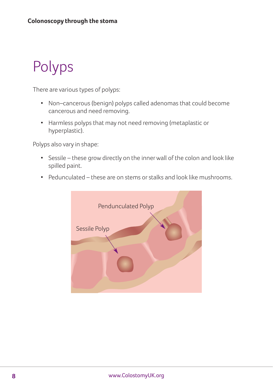## Polyps

There are various types of polyps:

- Non–cancerous (benign) polyps called adenomas that could become cancerous and need removing.
- Harmless polyps that may not need removing (metaplastic or hyperplastic).

Polyps also vary in shape:

- Sessile these grow directly on the innerwall of the colon and look like spilled paint.
- Pedunculated these are on stems orstalks and look like mushrooms.

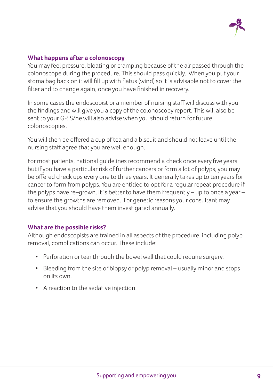

#### **What happens after a colonoscopy**

You may feel pressure, bloating or cramping because of the air passed through the colonoscope during the procedure. This should pass quickly. When you put your stoma bag back on it will fill up with flatus (wind) so it is advisable not to cover the filter and to change again, once you have finished in recovery.

In some cases the endoscopist or a member of nursing staffwill discuss with you the findings and will give you a copy of the colonoscopy report. This will also be sent to your GP. S/he will also advise when you should return for future colonoscopies.

You will then be offered a cup of tea and a biscuit and should not leave until the nursing staff agree that you are well enough.

For most patients, national guidelines recommend a check once every five years but if you have a particular risk of further cancers or form a lot of polyps, you may be offered check ups every one to three years. It generally takes up to ten years for cancer to form from polyps. You are entitled to opt for a regular repeat procedure if the polyps have re–grown. It is better to have them frequently – up to once a year – to ensure the growths are removed. For genetic reasons your consultant may advise that you should have them investigated annually.

#### **What are the possible risks?**

Although endoscopists are trained in all aspects of the procedure, including polyp removal, complications can occur. These include:

- Perforation or tear through the bowel wall that could require surgery.
- Bleeding from the site of biopsy or polyp removal usually minor and stops on its own.
- A reaction to the sedative injection.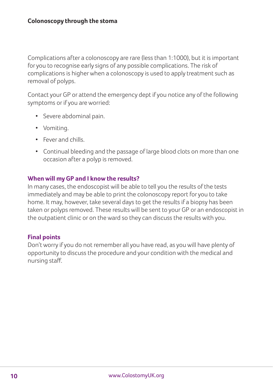Complications after a colonoscopy are rare (less than 1:1000), but it is important for you to recognise early signs of any possible complications. The risk of complications is higherwhen a colonoscopy is used to apply treatment such as removal of polyps.

Contact your GP or attend the emergency dept if you notice any of the following symptoms or if you are worried:

- Severe abdominal pain.
- Vomiting.
- Fever and chills.
- Continual bleeding and the passage of large blood clots on more than one occasion after a polyp is removed.

#### **When will my GP and I know the results?**

In many cases, the endoscopist will be able to tell you the results of the tests immediately and may be able to print the colonoscopy report for you to take home. It may, however, take several days to get the results if a biopsy has been taken or polyps removed. These results will be sent to your GP or an endoscopist in the outpatient clinic or on the ward so they can discuss the results with you.

#### **Final points**

Don't worry if you do not remember all you have read, as you will have plenty of opportunity to discuss the procedure and your condition with the medical and nursing staff.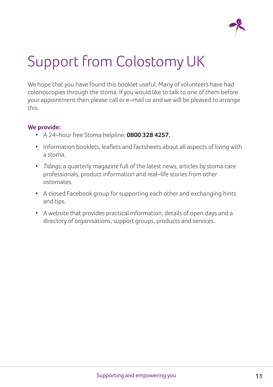

# Support from Colostomy UK

We hope that you have found this booklet useful. Many of volunteers have had colonoscopies through the stoma. If you would like to talk to one of them before your appointment then please call or e–mail us and we will be pleased to arrange this.

#### **We provide:**

- A 24–hour free Stoma helpline: **0800 328 4257.**
- Information booklets, leaflets and factsheets about all aspects of living with a stoma.
- *Tidings,* a quarterly magazine full of the latest news, articles by stoma care professionals, product information and real–life stories from other ostomates.
- A closed Facebook group forsupporting each other and exchanging hints and tips.
- A website that provides practical information, details of open days and a directory of organisations, support groups, products and services.